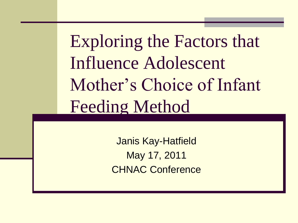Exploring the Factors that Influence Adolescent Mother's Choice of Infant Feeding Method

> Janis Kay-Hatfield May 17, 2011 CHNAC Conference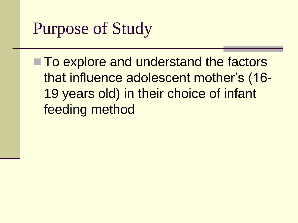## Purpose of Study

■ To explore and understand the factors that influence adolescent mother's (16- 19 years old) in their choice of infant feeding method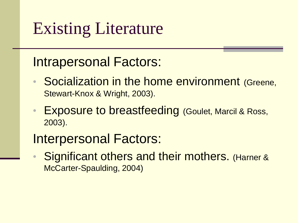## Existing Literature

#### Intrapersonal Factors:

- Socialization in the home environment (Greene, Stewart-Knox & Wright, 2003).
- Exposure to breastfeeding (Goulet, Marcil & Ross, 2003).

#### Interpersonal Factors:

• Significant others and their mothers. (Harner & McCarter-Spaulding, 2004)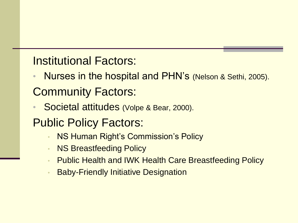Institutional Factors:

- Nurses in the hospital and PHN's (Nelson & Sethi, 2005). Community Factors:
- Societal attitudes (Volpe & Bear, 2000).
- Public Policy Factors:
	- NS Human Right's Commission's Policy
	- **NS Breastfeeding Policy**
	- Public Health and IWK Health Care Breastfeeding Policy
	- Baby-Friendly Initiative Designation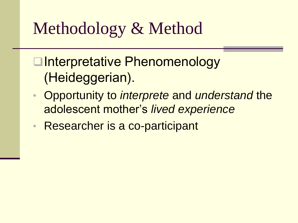# Methodology & Method

**□Interpretative Phenomenology** (Heideggerian).

- Opportunity to *interprete* and *understand* the adolescent mother's *lived experience*
- Researcher is a co-participant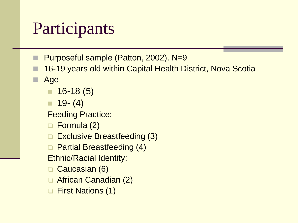# Participants

- Purposeful sample (Patton, 2002). N=9
- 16-19 years old within Capital Health District, Nova Scotia
- Age
	- $\Box$  16-18 (5)
	- $\Box$  19 (4)
	- Feeding Practice:
	- □ Formula (2)
	- **□ Exclusive Breastfeeding (3)**
	- **Q** Partial Breastfeeding (4)
	- Ethnic/Racial Identity:
	- Caucasian (6)
	- □ African Canadian (2)
	- □ First Nations (1)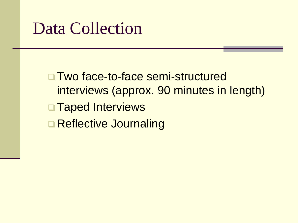#### Data Collection

□ Two face-to-face semi-structured interviews (approx. 90 minutes in length) **Taped Interviews □ Reflective Journaling**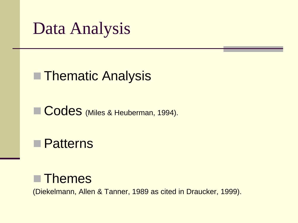Data Analysis

#### ■ Thematic Analysis

Codes (Miles & Heuberman, 1994).

**Patterns** 

#### **Themes**

(Diekelmann, Allen & Tanner, 1989 as cited in Draucker, 1999).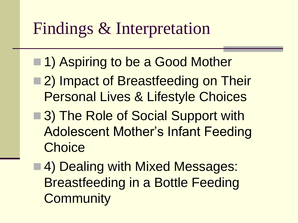### Findings & Interpretation

- 1) Aspiring to be a Good Mother
- ■2) Impact of Breastfeeding on Their Personal Lives & Lifestyle Choices
- ■3) The Role of Social Support with Adolescent Mother's Infant Feeding **Choice**
- ■4) Dealing with Mixed Messages: Breastfeeding in a Bottle Feeding **Community**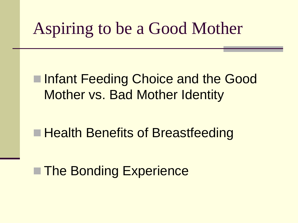### Aspiring to be a Good Mother

#### ■Infant Feeding Choice and the Good Mother vs. Bad Mother Identity

#### ■ Health Benefits of Breastfeeding

#### ■ The Bonding Experience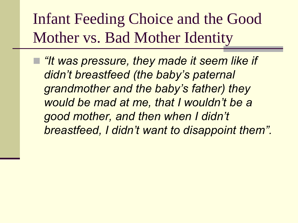Infant Feeding Choice and the Good Mother vs. Bad Mother Identity

 *"It was pressure, they made it seem like if didn"t breastfeed (the baby"s paternal grandmother and the baby"s father) they would be mad at me, that I wouldn"t be a good mother, and then when I didn"t breastfeed, I didn"t want to disappoint them".*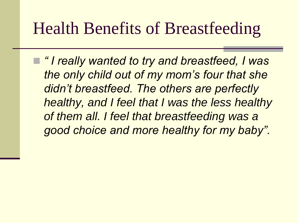#### Health Benefits of Breastfeeding

 *" I really wanted to try and breastfeed, I was the only child out of my mom"s four that she didn"t breastfeed. The others are perfectly healthy, and I feel that I was the less healthy of them all. I feel that breastfeeding was a good choice and more healthy for my baby".*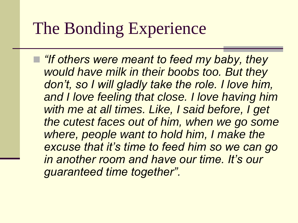#### The Bonding Experience

 *"If others were meant to feed my baby, they would have milk in their boobs too. But they don"t, so I will gladly take the role. I love him, and I love feeling that close. I love having him with me at all times. Like, I said before, I get the cutest faces out of him, when we go some where, people want to hold him, I make the excuse that it"s time to feed him so we can go in another room and have our time. It"s our guaranteed time together".*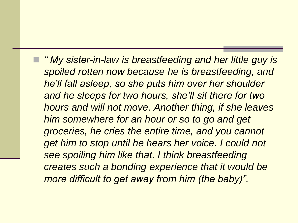*" My sister-in-law is breastfeeding and her little guy is spoiled rotten now because he is breastfeeding, and he"ll fall asleep, so she puts him over her shoulder and he sleeps for two hours, she"ll sit there for two hours and will not move. Another thing, if she leaves him somewhere for an hour or so to go and get groceries, he cries the entire time, and you cannot get him to stop until he hears her voice. I could not see spoiling him like that. I think breastfeeding creates such a bonding experience that it would be more difficult to get away from him (the baby)".*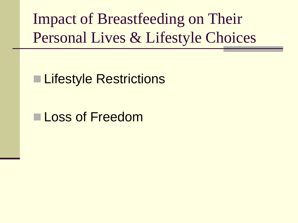Impact of Breastfeeding on Their Personal Lives & Lifestyle Choices

#### **■ Lifestyle Restrictions**

#### Loss of Freedom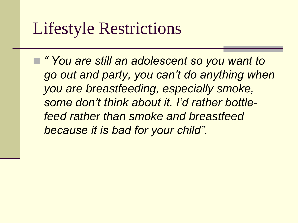### Lifestyle Restrictions

 *" You are still an adolescent so you want to go out and party, you can"t do anything when you are breastfeeding, especially smoke, some don"t think about it. I"d rather bottlefeed rather than smoke and breastfeed because it is bad for your child".*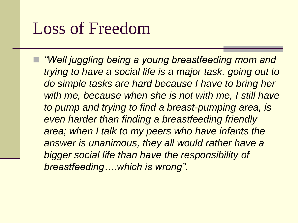#### Loss of Freedom

 *"Well juggling being a young breastfeeding mom and trying to have a social life is a major task, going out to do simple tasks are hard because I have to bring her with me, because when she is not with me, I still have to pump and trying to find a breast-pumping area, is even harder than finding a breastfeeding friendly area; when I talk to my peers who have infants the answer is unanimous, they all would rather have a bigger social life than have the responsibility of breastfeeding….which is wrong".*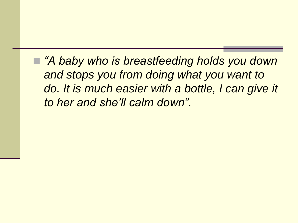*"A baby who is breastfeeding holds you down and stops you from doing what you want to do. It is much easier with a bottle, I can give it to her and she"ll calm down".*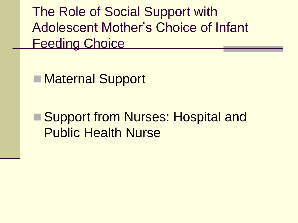The Role of Social Support with Adolescent Mother's Choice of Infant Feeding Choice

■ Maternal Support

■ Support from Nurses: Hospital and Public Health Nurse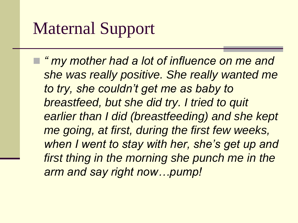## Maternal Support

 *" my mother had a lot of influence on me and she was really positive. She really wanted me to try, she couldn"t get me as baby to breastfeed, but she did try. I tried to quit earlier than I did (breastfeeding) and she kept me going, at first, during the first few weeks, when I went to stay with her, she"s get up and first thing in the morning she punch me in the arm and say right now…pump!*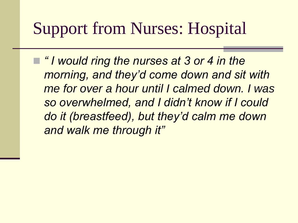### Support from Nurses: Hospital

■ *"I would ring the nurses at 3 or 4 in the morning, and they"d come down and sit with me for over a hour until I calmed down. I was so overwhelmed, and I didn"t know if I could do it (breastfeed), but they"d calm me down and walk me through it"*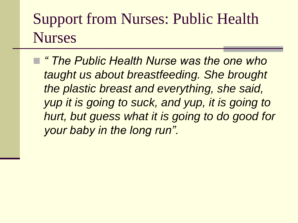#### Support from Nurses: Public Health Nurses

 *" The Public Health Nurse was the one who taught us about breastfeeding. She brought the plastic breast and everything, she said, yup it is going to suck, and yup, it is going to hurt, but guess what it is going to do good for your baby in the long run".*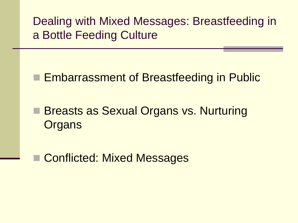Dealing with Mixed Messages: Breastfeeding in a Bottle Feeding Culture

**Embarrassment of Breastfeeding in Public** 

■ Breasts as Sexual Organs vs. Nurturing **Organs** 

Conflicted: Mixed Messages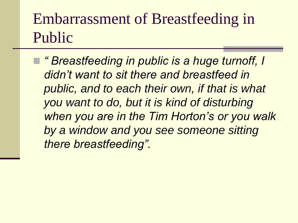#### Embarrassment of Breastfeeding in Public

 *" Breastfeeding in public is a huge turnoff, I didn"t want to sit there and breastfeed in public, and to each their own, if that is what you want to do, but it is kind of disturbing when you are in the Tim Horton"s or you walk by a window and you see someone sitting there breastfeeding".*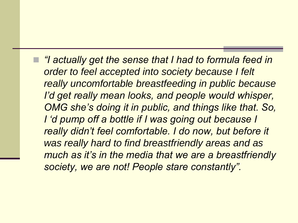*"I actually get the sense that I had to formula feed in order to feel accepted into society because I felt really uncomfortable breastfeeding in public because I"d get really mean looks, and people would whisper, OMG she"s doing it in public, and things like that. So, I "d pump off a bottle if I was going out because I really didn"t feel comfortable. I do now, but before it was really hard to find breastfriendly areas and as much as it"s in the media that we are a breastfriendly society, we are not! People stare constantly".*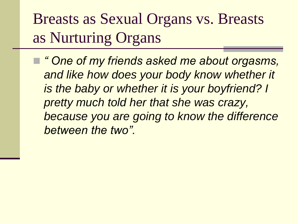Breasts as Sexual Organs vs. Breasts as Nurturing Organs

 *" One of my friends asked me about orgasms, and like how does your body know whether it is the baby or whether it is your boyfriend? I pretty much told her that she was crazy, because you are going to know the difference between the two".*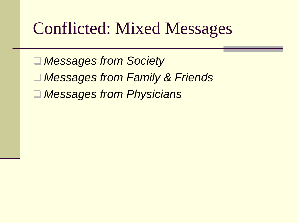### Conflicted: Mixed Messages

 *Messages from Society Messages from Family & Friends*

*Messages from Physicians*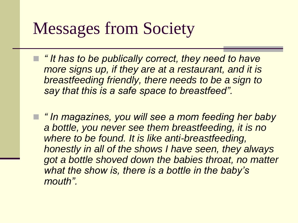### Messages from Society

 *" It has to be publically correct, they need to have more signs up, if they are at a restaurant, and it is breastfeeding friendly, there needs to be a sign to say that this is a safe space to breastfeed".*

 *" In magazines, you will see a mom feeding her baby a bottle, you never see them breastfeeding, it is no where to be found. It is like anti-breastfeeding, honestly in all of the shows I have seen, they always got a bottle shoved down the babies throat, no matter what the show is, there is a bottle in the baby"s mouth".*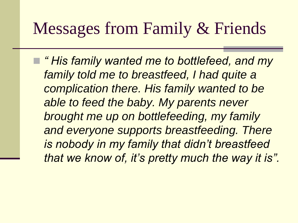### Messages from Family & Friends

 *" His family wanted me to bottlefeed, and my family told me to breastfeed, I had quite a complication there. His family wanted to be able to feed the baby. My parents never brought me up on bottlefeeding, my family and everyone supports breastfeeding. There is nobody in my family that didn"t breastfeed that we know of, it"s pretty much the way it is".*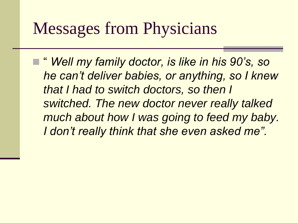#### Messages from Physicians

 " *Well my family doctor, is like in his 90"s, so he can"t deliver babies, or anything, so I knew that I had to switch doctors, so then I switched. The new doctor never really talked much about how I was going to feed my baby. I don"t really think that she even asked me".*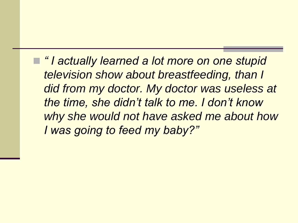*" I actually learned a lot more on one stupid television show about breastfeeding, than I did from my doctor. My doctor was useless at the time, she didn"t talk to me. I don"t know why she would not have asked me about how I was going to feed my baby?"*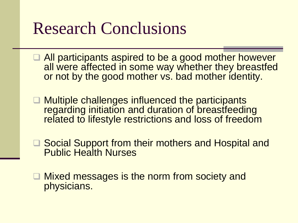### Research Conclusions

- **All participants aspired to be a good mother however** all were affected in some way whether they breastfed or not by the good mother vs. bad mother identity.
- **□ Multiple challenges influenced the participants** regarding initiation and duration of breastfeeding related to lifestyle restrictions and loss of freedom
- **□ Social Support from their mothers and Hospital and** Public Health Nurses
- Mixed messages is the norm from society and physicians.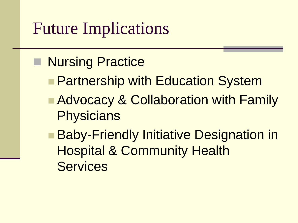#### Future Implications

- Nursing Practice
	- **Partnership with Education System**
	- **Advocacy & Collaboration with Family Physicians**
	- Baby-Friendly Initiative Designation in Hospital & Community Health **Services**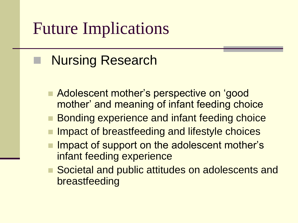### Future Implications

#### Nursing Research

- **Adolescent mother's perspective on 'good** mother' and meaning of infant feeding choice
- Bonding experience and infant feeding choice
- Impact of breastfeeding and lifestyle choices
- Impact of support on the adolescent mother's infant feeding experience
- Societal and public attitudes on adolescents and breastfeeding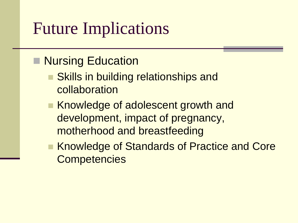### Future Implications

#### **Nursing Education**

- Skills in building relationships and collaboration
- Knowledge of adolescent growth and development, impact of pregnancy, motherhood and breastfeeding
- Knowledge of Standards of Practice and Core **Competencies**